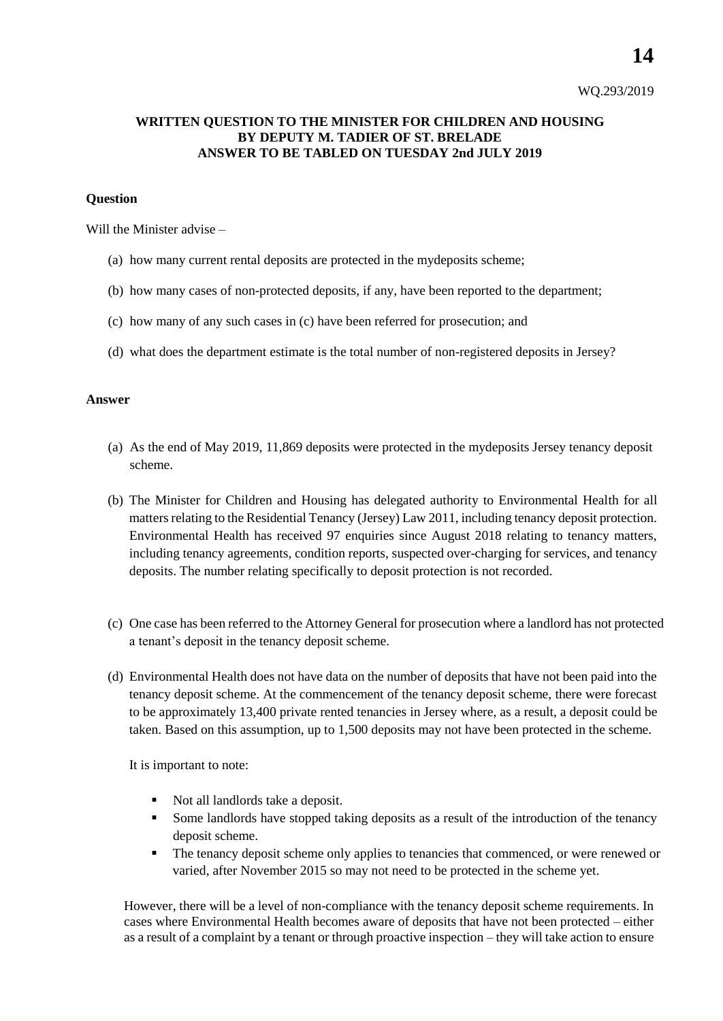**14**

## **WRITTEN QUESTION TO THE MINISTER FOR CHILDREN AND HOUSING BY DEPUTY M. TADIER OF ST. BRELADE ANSWER TO BE TABLED ON TUESDAY 2nd JULY 2019**

## **Question**

Will the Minister advise –

- (a) how many current rental deposits are protected in the mydeposits scheme;
- (b) how many cases of non-protected deposits, if any, have been reported to the department;
- (c) how many of any such cases in (c) have been referred for prosecution; and
- (d) what does the department estimate is the total number of non-registered deposits in Jersey?

## **Answer**

- (a) As the end of May 2019, 11,869 deposits were protected in the mydeposits Jersey tenancy deposit scheme.
- (b) The Minister for Children and Housing has delegated authority to Environmental Health for all matters relating to the Residential Tenancy (Jersey) Law 2011, including tenancy deposit protection. Environmental Health has received 97 enquiries since August 2018 relating to tenancy matters, including tenancy agreements, condition reports, suspected over-charging for services, and tenancy deposits. The number relating specifically to deposit protection is not recorded.
- (c) One case has been referred to the Attorney General for prosecution where a landlord has not protected a tenant's deposit in the tenancy deposit scheme.
- (d) Environmental Health does not have data on the number of deposits that have not been paid into the tenancy deposit scheme. At the commencement of the tenancy deposit scheme, there were forecast to be approximately 13,400 private rented tenancies in Jersey where, as a result, a deposit could be taken. Based on this assumption, up to 1,500 deposits may not have been protected in the scheme.

It is important to note:

- Not all landlords take a deposit.
- Some landlords have stopped taking deposits as a result of the introduction of the tenancy deposit scheme.
- The tenancy deposit scheme only applies to tenancies that commenced, or were renewed or varied, after November 2015 so may not need to be protected in the scheme yet.

However, there will be a level of non-compliance with the tenancy deposit scheme requirements. In cases where Environmental Health becomes aware of deposits that have not been protected – either as a result of a complaint by a tenant or through proactive inspection – they will take action to ensure